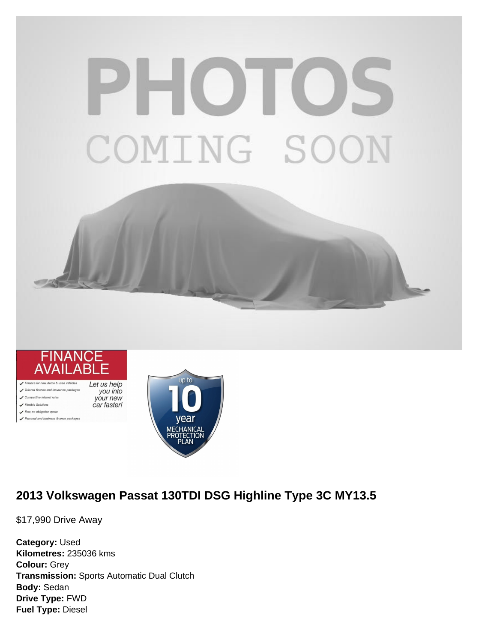# PHOTOS COMING SOON



Competitive interest rates

-<br>Free, no obligation quote nal and business finance packages



# **2013 Volkswagen Passat 130TDI DSG Highline Type 3C MY13.5**

\$17,990 Drive Away

**Category:** Used **Kilometres:** 235036 kms **Colour:** Grey **Transmission:** Sports Automatic Dual Clutch **Body:** Sedan **Drive Type:** FWD **Fuel Type:** Diesel

your new car faster!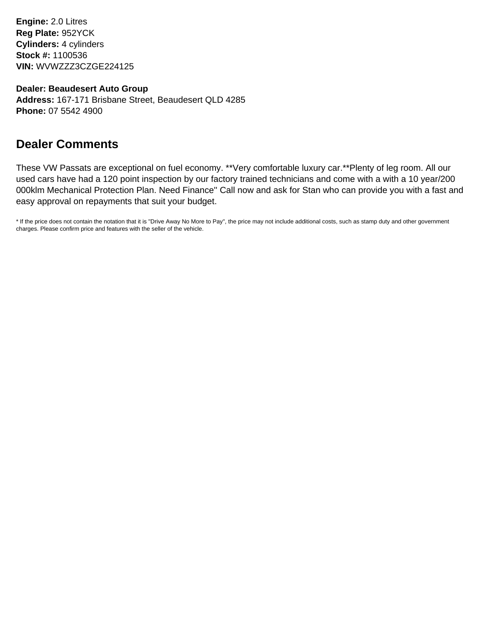**Engine:** 2.0 Litres **Reg Plate:** 952YCK **Cylinders:** 4 cylinders **Stock #:** 1100536 **VIN:** WVWZZZ3CZGE224125

**Dealer: Beaudesert Auto Group**

**Address:** 167-171 Brisbane Street, Beaudesert QLD 4285 **Phone:** 07 5542 4900

# **Dealer Comments**

These VW Passats are exceptional on fuel economy. \*\*Very comfortable luxury car.\*\*Plenty of leg room. All our used cars have had a 120 point inspection by our factory trained technicians and come with a with a 10 year/200 000klm Mechanical Protection Plan. Need Finance'' Call now and ask for Stan who can provide you with a fast and easy approval on repayments that suit your budget.

\* If the price does not contain the notation that it is "Drive Away No More to Pay", the price may not include additional costs, such as stamp duty and other government charges. Please confirm price and features with the seller of the vehicle.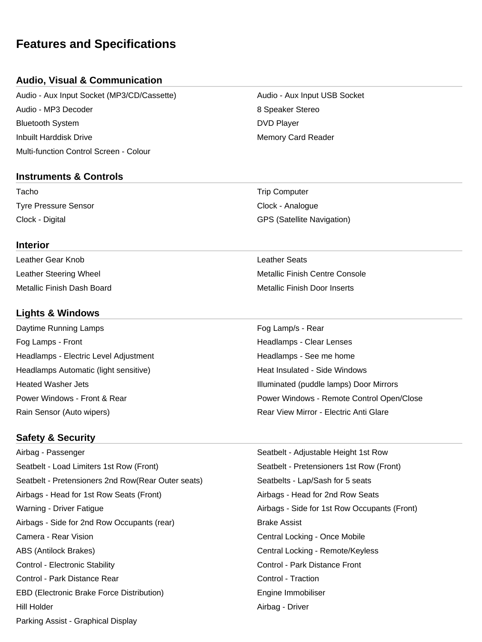# **Features and Specifications**

# **Audio, Visual & Communication**

Audio - Aux Input Socket (MP3/CD/Cassette) Audio - Aux Input USB Socket Audio - MP3 Decoder 8 Speaker Stereo Bluetooth System DVD Player **Inbuilt Harddisk Drive Memory Card Reader** Memory Card Reader Multi-function Control Screen - Colour

#### **Instruments & Controls**

Tacho **Trip Computer** Trip Computer Tyre Pressure Sensor Clock - Analogue

#### **Interior**

Leather Gear Knob Leather Seats

## **Lights & Windows**

Daytime Running Lamps **Fog Lamp/s** - Rear Fog Lamps - Front **Headlamps - Clear Lenses** Headlamps - Electric Level Adjustment **Headlamps - See me home** Headlamps Automatic (light sensitive) **Heat Insulated - Side Windows** Heat Insulated - Side Windows

## **Safety & Security**

Airbag - Passenger Seatbelt - Adjustable Height 1st Row Seatbelt - Load Limiters 1st Row (Front) Seatbelt - Pretensioners 1st Row (Front) Seatbelt - Pretensioners 2nd Row(Rear Outer seats) Seatbelts - Lap/Sash for 5 seats Airbags - Head for 1st Row Seats (Front) Airbags - Head for 2nd Row Seats Warning - Driver Fatigue **Airbags - Side for 1st Row Occupants (Front)** Airbags - Side for 2nd Row Occupants (rear) Brake Assist Camera - Rear Vision Central Locking - Once Mobile ABS (Antilock Brakes) Central Locking - Remote/Keyless Control - Electronic Stability Control - Park Distance Front Control - Park Distance Rear Control - Traction EBD (Electronic Brake Force Distribution) **Engine Immobiliser** Engine Immobiliser Hill Holder **Airbag - Driver** Airbag - Driver Parking Assist - Graphical Display

Clock - Digital GPS (Satellite Navigation)

Leather Steering Wheel Metallic Finish Centre Console Metallic Finish Dash Board Metallic Finish Door Inserts

Heated Washer Jets Illuminated (puddle lamps) Door Mirrors Power Windows - Front & Rear **Power Windows - Remote Control Open/Close** Rain Sensor (Auto wipers) The Common Sensitive Common Sensitive Common Sensitive Common Sensitive Common Sensitive Common Sensitive Common Sensitive Common Sensitive Common Sensitive Common Sensitive Common Sensitive Commo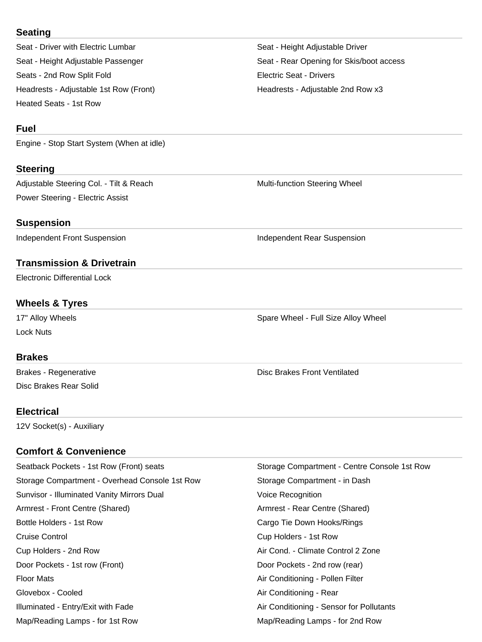#### **Seating**

Seat - Driver with Electric Lumbar Seat - Height Adjustable Driver Seats - 2nd Row Split Fold **Electric Seat - Drivers** Headrests - Adjustable 1st Row (Front) The Meadrests - Adjustable 2nd Row x3 Heated Seats - 1st Row

# **Fuel**

Engine - Stop Start System (When at idle)

# **Steering**

Adjustable Steering Col. - Tilt & Reach Multi-function Steering Wheel Power Steering - Electric Assist

# **Suspension**

Independent Front Suspension **Independent Rear Suspension** 

# **Transmission & Drivetrain**

Electronic Differential Lock

# **Wheels & Tyres**

17" Alloy Wheels **Spare Wheel - Full Size Alloy Wheel** - The Spare Wheel - Full Size Alloy Wheel Lock Nuts

## **Brakes**

Disc Brakes Rear Solid

Brakes - Regenerative **Disc Brakes Front Ventilated** 

## **Electrical**

12V Socket(s) - Auxiliary

# **Comfort & Convenience**

| Seatback Pockets - 1st Row (Front) seats       | Storage Compartment - Centre Console 1st Row |
|------------------------------------------------|----------------------------------------------|
| Storage Compartment - Overhead Console 1st Row | Storage Compartment - in Dash                |
| Sunvisor - Illuminated Vanity Mirrors Dual     | Voice Recognition                            |
| Armrest - Front Centre (Shared)                | Armrest - Rear Centre (Shared)               |
| Bottle Holders - 1st Row                       | Cargo Tie Down Hooks/Rings                   |
| Cruise Control                                 | Cup Holders - 1st Row                        |
| Cup Holders - 2nd Row                          | Air Cond. - Climate Control 2 Zone           |
| Door Pockets - 1st row (Front)                 | Door Pockets - 2nd row (rear)                |
| <b>Floor Mats</b>                              | Air Conditioning - Pollen Filter             |
| Glovebox - Cooled                              | Air Conditioning - Rear                      |
| Illuminated - Entry/Exit with Fade             | Air Conditioning - Sensor for Pollutants     |
| Map/Reading Lamps - for 1st Row                | Map/Reading Lamps - for 2nd Row              |

Seat - Height Adjustable Passenger Seat - Rear Opening for Skis/boot access